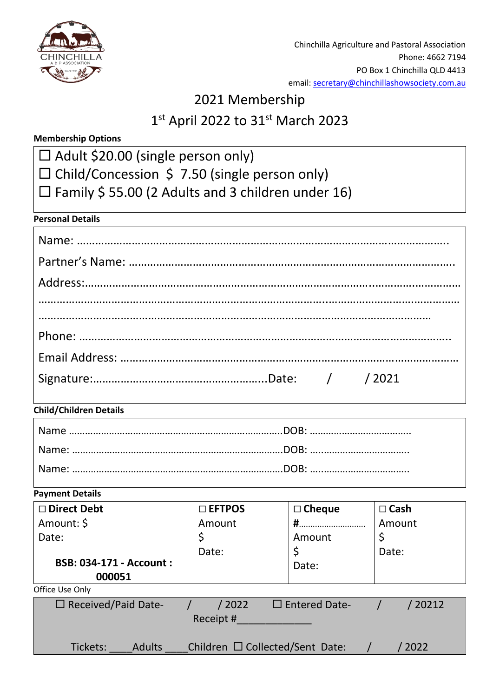

Chinchilla Agriculture and Pastoral Association Phone: 4662 7194 PO Box 1 Chinchilla QLD 4413 email: [secretary@chinchillashowsociety.com.](mailto:secretary@chinchillashowsociety.com)au

# 2021 Membership

# 1st April 2022 to 31st March 2023

# **Membership Options**

- □ Adult \$20.00 (single person only)
- $\square$  Child/Concession \$ 7.50 (single person only)
- $\Box$  Family \$ 55.00 (2 Adults and 3 children under 16)

#### **Personal Details**

## **Child/Children Details**

#### **Payment Details**

| □ Direct Debt<br>Amount: \$<br>Date:<br><b>BSB: 034-171 - Account:</b><br>000051     | $\square$ EFTPOS<br>Amount<br>Date: | $\Box$ Cheque<br>Amount<br>\$<br>Date: | $\square$ Cash<br>Amount<br>Date: |  |  |  |
|--------------------------------------------------------------------------------------|-------------------------------------|----------------------------------------|-----------------------------------|--|--|--|
| Office Use Only                                                                      |                                     |                                        |                                   |  |  |  |
| $\Box$ Received/Paid Date-<br>$\Box$ Entered Date-<br>/ 20212<br>/ 2022<br>Receipt # |                                     |                                        |                                   |  |  |  |
| Children $\Box$ Collected/Sent Date:<br>Tickets:<br>2022<br><b>Adults</b>            |                                     |                                        |                                   |  |  |  |